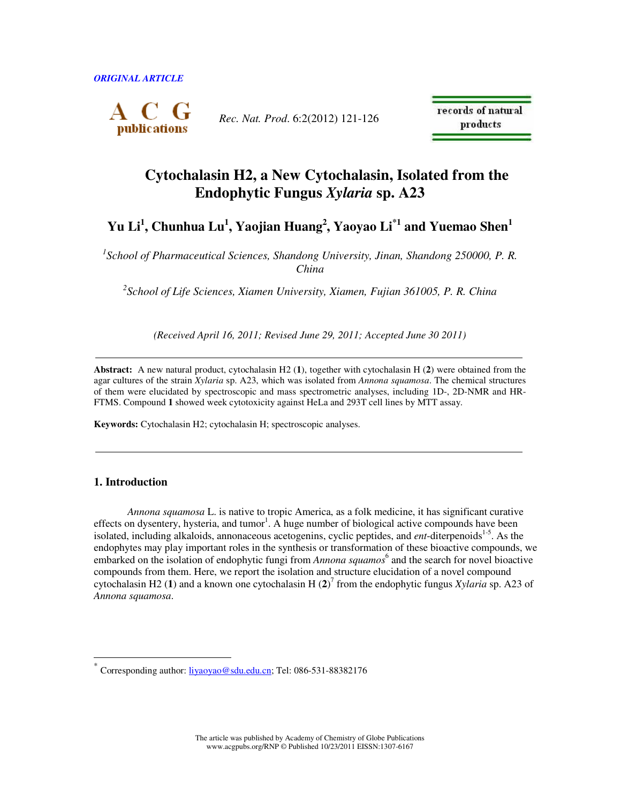

*Rec. Nat. Prod*. 6:2(2012) 121-126

records of natural products

# **Cytochalasin H2, a New Cytochalasin, Isolated from the Endophytic Fungus** *Xylaria* **sp. A23**

# **Yu Li<sup>1</sup> , Chunhua Lu<sup>1</sup> , Yaojian Huang<sup>2</sup> , Yaoyao Li\*1 and Yuemao Shen<sup>1</sup>**

<sup>1</sup> School of Pharmaceutical Sciences, Shandong University, Jinan, Shandong 250000, P. R. *China* 

*2 School of Life Sciences, Xiamen University, Xiamen, Fujian 361005, P. R. China* 

*(Received April 16, 2011; Revised June 29, 2011; Accepted June 30 2011)* 

**Abstract:** A new natural product, cytochalasin H2 (**1**), together with cytochalasin H (**2**) were obtained from the agar cultures of the strain *Xylaria* sp. A23, which was isolated from *Annona squamosa*. The chemical structures of them were elucidated by spectroscopic and mass spectrometric analyses, including 1D-, 2D-NMR and HR-FTMS. Compound **1** showed week cytotoxicity against HeLa and 293T cell lines by MTT assay.

**Keywords:** Cytochalasin H2; cytochalasin H; spectroscopic analyses.

# **1. Introduction**

 $\overline{a}$ 

*Annona squamosa* L. is native to tropic America, as a folk medicine, it has significant curative effects on dysentery, hysteria, and tumor<sup>1</sup>. A huge number of biological active compounds have been isolated, including alkaloids, annonaceous acetogenins, cyclic peptides, and *ent*-diterpenoids<sup>1-5</sup>. As the endophytes may play important roles in the synthesis or transformation of these bioactive compounds, we embarked on the isolation of endophytic fungi from *Annona squamos*<sup>6</sup> and the search for novel bioactive compounds from them. Here, we report the isolation and structure elucidation of a novel compound cytochalasin H2 (**1**) and a known one cytochalasin H (**2**) 7 from the endophytic fungus *Xylaria* sp. A23 of *Annona squamosa*.

The article was published by Academy of Chemistry of Globe Publications www.acgpubs.org/RNP © Published 10/23/2011 EISSN:1307-6167

<sup>\*</sup> Corresponding author: liyaoyao@sdu.edu.cn; Tel: 086-531-88382176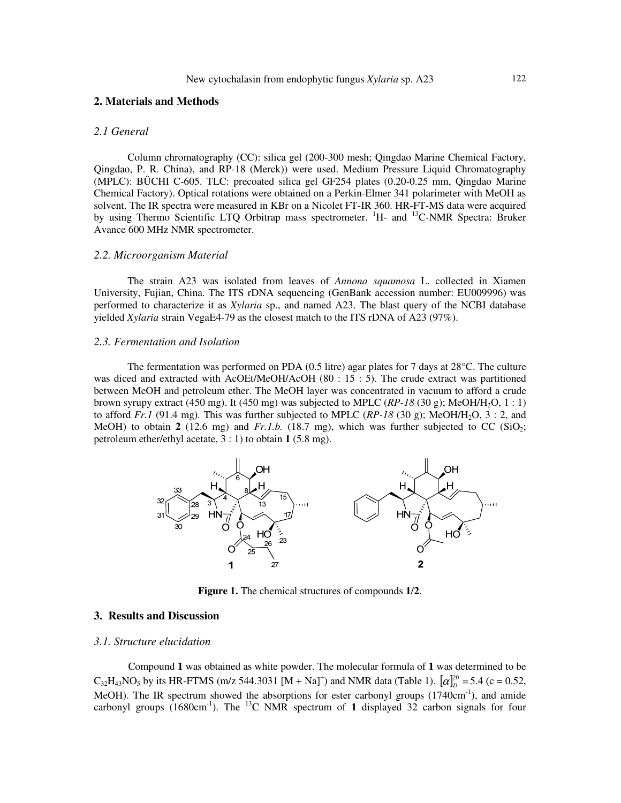### **2. Materials and Methods**

#### *2.1 General*

Column chromatography (CC): silica gel (200-300 mesh; Qingdao Marine Chemical Factory, Qingdao, P. R. China), and RP-18 (Merck)) were used. Medium Pressure Liquid Chromatography (MPLC): BÜCHI C-605. TLC: precoated silica gel GF254 plates (0.20-0.25 mm, Qingdao Marine Chemical Factory). Optical rotations were obtained on a Perkin-Elmer 341 polarimeter with MeOH as solvent. The IR spectra were measured in KBr on a Nicolet FT-IR 360. HR-FT-MS data were acquired by using Thermo Scientific LTQ Orbitrap mass spectrometer. <sup>1</sup>H- and <sup>13</sup>C-NMR Spectra: Bruker Avance 600 MHz NMR spectrometer.

#### *2.2. Microorganism Material*

The strain A23 was isolated from leaves of *Annona squamosa* L. collected in Xiamen University, Fujian, China. The ITS rDNA sequencing (GenBank accession number: EU009996) was performed to characterize it as *Xylaria* sp., and named A23. The blast query of the NCBI database yielded *Xylaria* strain VegaE4-79 as the closest match to the ITS rDNA of A23 (97%).

#### *2.3. Fermentation and Isolation*

The fermentation was performed on PDA (0.5 litre) agar plates for 7 days at 28°C. The culture was diced and extracted with AcOEt/MeOH/AcOH (80 : 15 : 5). The crude extract was partitioned between MeOH and petroleum ether. The MeOH layer was concentrated in vacuum to afford a crude brown syrupy extract (450 mg). It (450 mg) was subjected to MPLC  $(RP-18(30 \text{ g}); \text{MeOH/H}_2\text{O}, 1:1)$ to afford  $Fr.1$  (91.4 mg). This was further subjected to MPLC  $(RP-18)$  (30 g); MeOH/H<sub>2</sub>O, 3 : 2, and MeOH) to obtain  $2(12.6 \text{ mg})$  and  $Fr.1.b.$  (18.7 mg), which was further subjected to CC (SiO<sub>2</sub>; petroleum ether/ethyl acetate, 3 : 1) to obtain **1** (5.8 mg).



**Figure 1.** The chemical structures of compounds **1**/**2**.

## **3. Results and Discussion**

#### *3.1. Structure elucidation*

Compound **1** was obtained as white powder. The molecular formula of **1** was determined to be  $C_{32}H_{43}NO_5$  by its HR-FTMS (m/z 544.3031 [M + Na]<sup>+</sup>) and NMR data (Table 1).  $[\alpha]_D^{20} = 5.4$  (c = 0.52, MeOH). The IR spectrum showed the absorptions for ester carbonyl groups (1740cm<sup>-1</sup>), and amide carbonyl groups  $(1680 \text{cm}^{-1})$ . The <sup>13</sup>C NMR spectrum of 1 displayed 32 carbon signals for four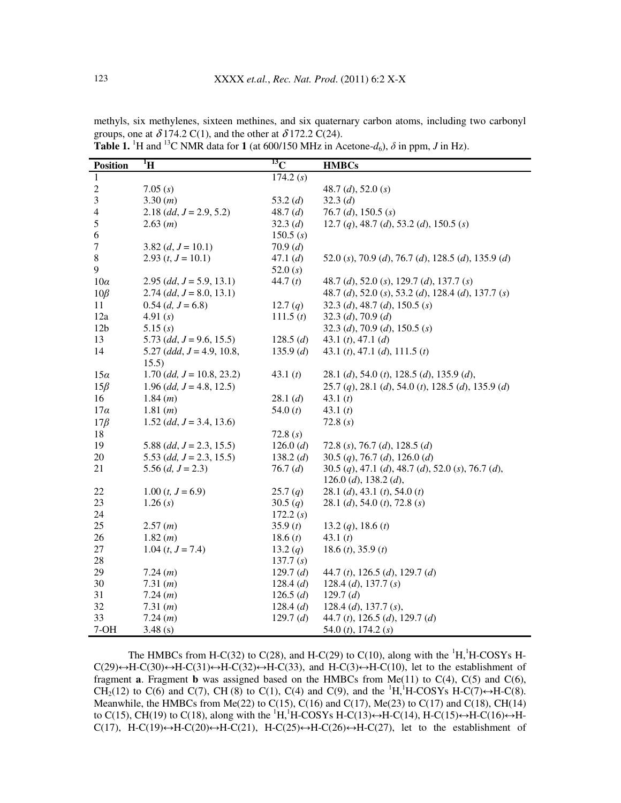| <b>Position</b> | $\mathbf{H}^{\mathrm{I}}$      | $^{13}$ C   | <b>HMBCs</b>                                                     |
|-----------------|--------------------------------|-------------|------------------------------------------------------------------|
| 1               |                                | 174.2(s)    |                                                                  |
| $\sqrt{2}$      | 7.05(s)                        |             | 48.7 (d), 52.0 (s)                                               |
| $\mathfrak{Z}$  | 3.30(m)                        | 53.2 $(d)$  | 32.3(d)                                                          |
| 4               | $2.18$ (dd, $J = 2.9, 5.2$ )   | 48.7(d)     | 76.7 (d), 150.5 (s)                                              |
| 5               | 2.63(m)                        | 32.3 $(d)$  | 12.7 (q), 48.7 (d), 53.2 (d), 150.5 (s)                          |
| 6               |                                | 150.5(s)    |                                                                  |
| 7               | $3.82 (d, J = 10.1)$           | 70.9(d)     |                                                                  |
| $\,8\,$         | 2.93 $(t, J = 10.1)$           | 47.1(d)     | 52.0 (s), 70.9 (d), 76.7 (d), 128.5 (d), 135.9 (d)               |
| 9               |                                | 52.0(s)     |                                                                  |
| $10\alpha$      | $2.95$ (dd, $J = 5.9, 13.1$ )  | 44.7 $(t)$  | 48.7 (d), 52.0 (s), 129.7 (d), 137.7 (s)                         |
| $10\beta$       | $2.74$ (dd, $J = 8.0, 13.1$ )  |             | 48.7 (d), 52.0 (s), 53.2 (d), 128.4 (d), 137.7 (s)               |
| 11              | $0.54$ (d, $J = 6.8$ )         | 12.7 $(q)$  | 32.3 (d), 48.7 (d), 150.5 (s)                                    |
| 12a             | 4.91 $(s)$                     | 111.5(t)    | 32.3 (d), 70.9 (d)                                               |
| 12 <sub>b</sub> | 5.15(s)                        |             | 32.3 (d), 70.9 (d), 150.5 (s)                                    |
| 13              | 5.73 $(dd, J = 9.6, 15.5)$     | 128.5(d)    | 43.1 $(t)$ , 47.1 $(d)$                                          |
| 14              | 5.27 (ddd, $J = 4.9, 10.8$ ,   | 135.9(d)    | 43.1 ( <i>t</i> ), 47.1 ( <i>d</i> ), 111.5 ( <i>t</i> )         |
|                 | 15.5)                          |             |                                                                  |
| 15a             | $1.70$ (dd, $J = 10.8, 23.2$ ) | 43.1 $(t)$  | 28.1 (d), 54.0 (t), 128.5 (d), 135.9 (d),                        |
| $15\beta$       | $1.96$ (dd, $J = 4.8, 12.5$ )  |             | $25.7 (q)$ , $28.1 (d)$ , $54.0 (t)$ , $128.5 (d)$ , $135.9 (d)$ |
| 16              | 1.84(m)                        | 28.1(d)     | 43.1 $(t)$                                                       |
| $17\alpha$      | 1.81 (m)                       | 54.0 $(t)$  | 43.1 $(t)$                                                       |
| $17\beta$       | $1.52$ (dd, $J = 3.4$ , 13.6)  |             | 72.8(s)                                                          |
| 18              |                                | 72.8(s)     |                                                                  |
| 19              | 5.88 $(dd, J = 2.3, 15.5)$     | 126.0(d)    | 72.8 (s), 76.7 (d), 128.5 (d)                                    |
| 20              | 5.53 (dd, $J = 2.3, 15.5$ )    | 138.2(d)    | 30.5 (q), 76.7 (d), 126.0 (d)                                    |
| 21              | 5.56 $(d, J = 2.3)$            | 76.7(d)     | 30.5 (q), 47.1 (d), 48.7 (d), 52.0 (s), 76.7 (d),                |
|                 |                                |             | 126.0 $(d)$ , 138.2 $(d)$ ,                                      |
| 22              | $1.00$ $(t, J = 6.9)$          | 25.7(q)     | 28.1 (d), 43.1 (t), 54.0 (t)                                     |
| 23              | 1.26(s)                        | 30.5(q)     | 28.1 (d), 54.0 (t), 72.8 (s)                                     |
| 24              |                                | 172.2(s)    |                                                                  |
| 25              | 2.57(m)                        | 35.9(t)     | 13.2 ( <i>q</i> ), 18.6 ( <i>t</i> )                             |
| 26              | 1.82(m)                        | 18.6(t)     | 43.1 $(t)$                                                       |
| 27              | 1.04 $(t, J = 7.4)$            | 13.2 $(q)$  | 18.6 $(t)$ , 35.9 $(t)$                                          |
| 28              |                                | 137.7(s)    |                                                                  |
| 29              | 7.24 (m)                       | 129.7(d)    | 44.7 (t), 126.5 (d), 129.7 (d)                                   |
| 30              | 7.31 (m)                       | 128.4(d)    | 128.4 (d), 137.7 (s)                                             |
| 31              | 7.24(m)                        | 126.5(d)    | 129.7 $(d)$                                                      |
| 32              | 7.31 (m)                       | 128.4(d)    | 128.4 (d), 137.7 (s),                                            |
| 33              | 7.24 (m)                       | 129.7 $(d)$ | 44.7 (t), 126.5 (d), 129.7 (d)                                   |
| $7-OH$          | 3.48(s)                        |             | 54.0 $(t)$ , 174.2 $(s)$                                         |

methyls, six methylenes, sixteen methines, and six quaternary carbon atoms, including two carbonyl groups, one at  $\delta$  174.2 C(1), and the other at  $\delta$  172.2 C(24).

**Table 1.** <sup>1</sup>H and <sup>13</sup>C NMR data for **1** (at 600/150 MHz in Acetone- $d_6$ ),  $\delta$  in ppm, *J* in Hz).

The HMBCs from H-C(32) to C(28), and H-C(29) to C(10), along with the  ${}^{1}H,{}^{1}H$ -COSYs H- $C(29) \leftrightarrow H-C(30) \leftrightarrow H-C(31) \leftrightarrow H-C(32) \leftrightarrow H-C(33)$ , and  $H-C(3) \leftrightarrow H-C(10)$ , let to the establishment of fragment **a**. Fragment **b** was assigned based on the HMBCs from Me(11) to  $C(4)$ ,  $C(5)$  and  $C(6)$ , CH<sub>2</sub>(12) to C(6) and C(7), CH(8) to C(1), C(4) and C(9), and the <sup>1</sup>H,<sup>1</sup>H-COSYs H-C(7) $\leftrightarrow$ H-C(8). Meanwhile, the HMBCs from Me(22) to C(15), C(16) and C(17), Me(23) to C(17) and C(18), CH(14) to C(15), CH(19) to C(18), along with the  ${}^{1}H,{}^{1}H$ -COSYs H-C(13) $\leftrightarrow$ H-C(14), H-C(15) $\leftrightarrow$ H-C(16) $\leftrightarrow$ H-C(17), H-C(19) $\leftrightarrow$ H-C(20) $\leftrightarrow$ H-C(21), H-C(25) $\leftrightarrow$ H-C(26) $\leftrightarrow$ H-C(27), let to the establishment of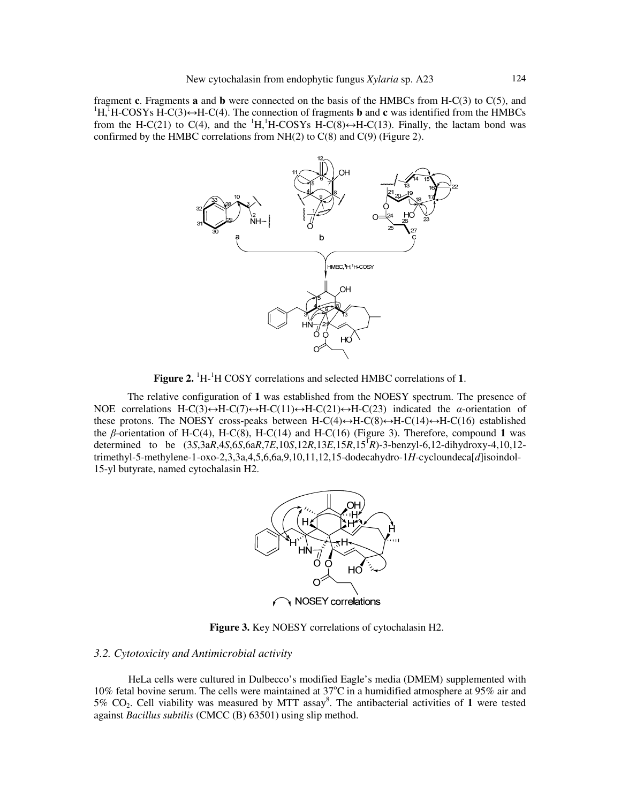fragment **c**. Fragments **a** and **b** were connected on the basis of the HMBCs from H-C(3) to C(5), and  ${}^{1}H, {}^{1}H\text{-COSYs } H\text{-C}(3) \rightarrow H\text{-C}(4)$ . The connection of fragments **b** and **c** was identified from the HMBCs from the H-C(21) to C(4), and the  ${}^{1}H, {}^{1}H$ -COSYs H-C(8) $\leftrightarrow$ H-C(13). Finally, the lactam bond was confirmed by the HMBC correlations from  $NH(2)$  to  $C(8)$  and  $C(9)$  (Figure 2).



Figure 2. <sup>1</sup>H-<sup>1</sup>H COSY correlations and selected HMBC correlations of 1.

The relative configuration of **1** was established from the NOESY spectrum. The presence of NOE correlations H-C(3) $\leftrightarrow$ H-C(7) $\leftrightarrow$ H-C(11) $\leftrightarrow$ H-C(21) $\leftrightarrow$ H-C(23) indicated the  $\alpha$ -orientation of these protons. The NOESY cross-peaks between  $H-C(4) \leftrightarrow H-C(14) \leftrightarrow H-C(16)$  established the β-orientation of H-C(4), H-C(8), H-C(14) and H-C(16) (Figure 3). Therefore, compound **1** was determined to be (3*S*,3a*R*,4*S*,6*S*,6a*R*,7*E*,10*S*,12*R*,13*E*,15*R*,15<sup>1</sup> *R*)-3-benzyl-6,12-dihydroxy-4,10,12 trimethyl-5-methylene-1-oxo-2,3,3a,4,5,6,6a,9,10,11,12,15-dodecahydro-1*H*-cycloundeca[*d*]isoindol-15-yl butyrate, named cytochalasin H2.



**Figure 3.** Key NOESY correlations of cytochalasin H2.

## *3.2. Cytotoxicity and Antimicrobial activity*

HeLa cells were cultured in Dulbecco's modified Eagle's media (DMEM) supplemented with 10% fetal bovine serum. The cells were maintained at  $37^{\circ}$ C in a humidified atmosphere at 95% air and 5% CO2. Cell viability was measured by MTT assay<sup>8</sup> . The antibacterial activities of **1** were tested against *Bacillus subtilis* (CMCC (B) 63501) using slip method.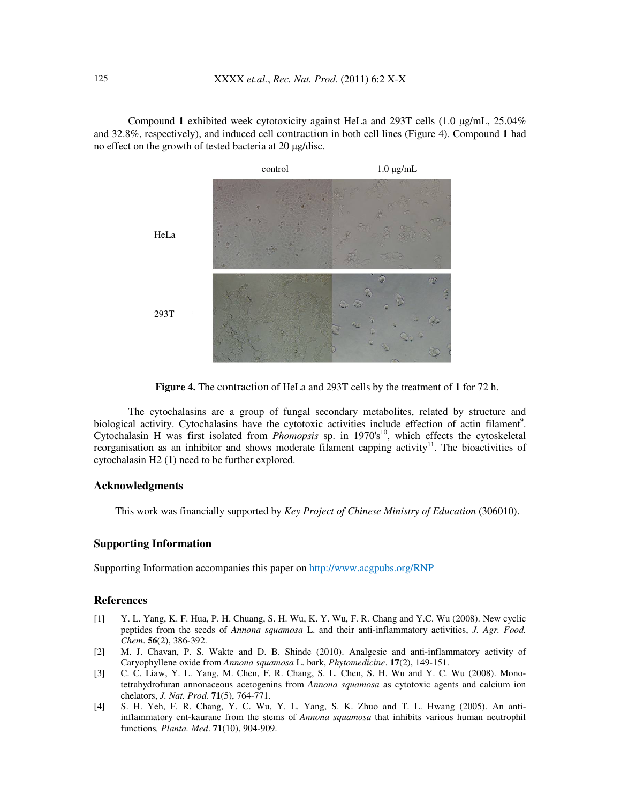Compound **1** exhibited week cytotoxicity against HeLa and 293T cells (1.0 µg/mL, 25.04% and 32.8%, respectively), and induced cell contraction in both cell lines (Figure 4). Compound **1** had no effect on the growth of tested bacteria at 20 µg/disc.



**Figure 4.** The contraction of HeLa and 293T cells by the treatment of **1** for 72 h.

The cytochalasins are a group of fungal secondary metabolites, related by structure and biological activity. Cytochalasins have the cytotoxic activities include effection of actin filament<sup>9</sup>. Cytochalasin H was first isolated from *Phomopsis* sp. in 1970's<sup>10</sup>, which effects the cytoskeletal reorganisation as an inhibitor and shows moderate filament capping activity<sup>11</sup>. The bioactivities of cytochalasin H2 (**1**) need to be further explored.

# **Acknowledgments**

This work was financially supported by *Key Project of Chinese Ministry of Education* (306010).

### **Supporting Information**

Supporting Information accompanies this paper on http://www.acgpubs.org/RNP

## **References**

- [1] Y. L. Yang, K. F. Hua, P. H. Chuang, S. H. Wu, K. Y. Wu, F. R. Chang and Y.C. Wu (2008). New cyclic peptides from the seeds of *Annona squamosa* L. and their anti-inflammatory activities, *J. Agr. Food. Chem*. **56**(2), 386-392.
- [2] M. J. Chavan, P. S. Wakte and D. B. Shinde (2010). Analgesic and anti-inflammatory activity of Caryophyllene oxide from *Annona squamosa* L. bark, *Phytomedicine*. **17**(2), 149-151.
- [3] C. C. Liaw, Y. L. Yang, M. Chen, F. R. Chang, S. L. Chen, S. H. Wu and Y. C. Wu (2008). Monotetrahydrofuran annonaceous acetogenins from *Annona squamosa* as cytotoxic agents and calcium ion chelators, *J. Nat. Prod.* **71**(5), 764-771.
- [4] S. H. Yeh, F. R. Chang, Y. C. Wu, Y. L. Yang, S. K. Zhuo and T. L. Hwang (2005). An antiinflammatory ent-kaurane from the stems of *Annona squamosa* that inhibits various human neutrophil functions*, Planta. Med*. **71**(10), 904-909.